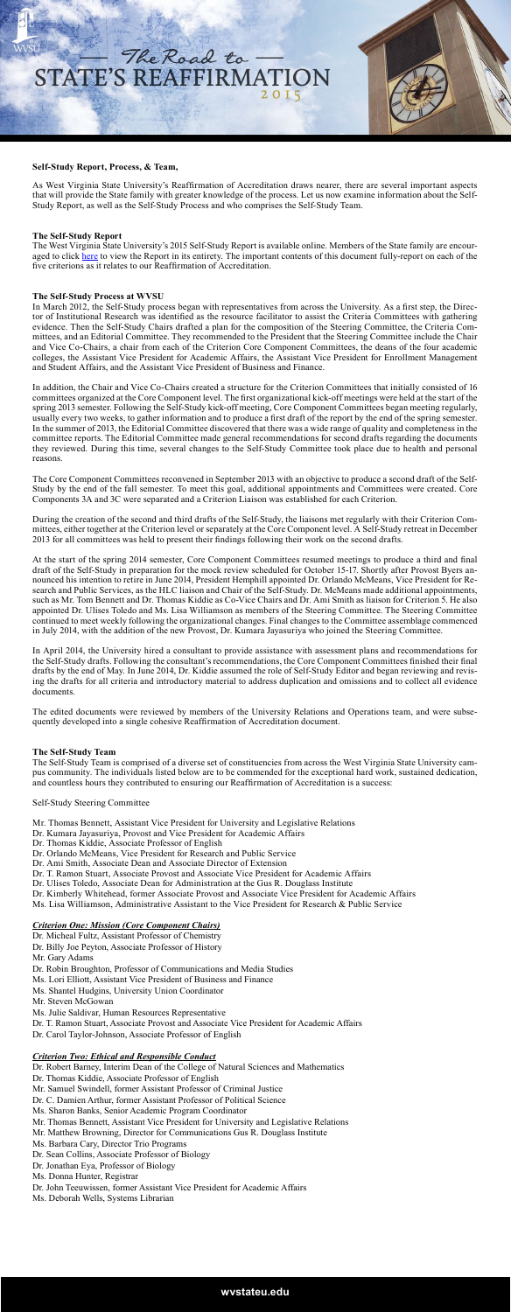

### **Self-Study Report, Process, & Team,**

As West Virginia State University's Reaffirmation of Accreditation draws nearer, there are several important aspects that will provide the State family with greater knowledge of the process. Let us now examine information about the Self-Study Report, as well as the Self-Study Process and who comprises the Self-Study Team.

### **The Self-Study Report**

The West Virginia State University's 2015 Self-Study Report is available online. Members of the State family are encouraged to click [here](http://www.wvstateu.edu/WVStateU/media/icons/Accreditation/WVSU_SelfStudyReport_2014_2inactivelinks.pdf) to view the Report in its entirety. The important contents of this document fully-report on each of the five criterions as it relates to our Reaffirmation of Accreditation.

#### **The Self-Study Process at WVSU**

In March 2012, the Self-Study process began with representatives from across the University. As a first step, the Director of Institutional Research was identified as the resource facilitator to assist the Criteria Committees with gathering evidence. Then the Self-Study Chairs drafted a plan for the composition of the Steering Committee, the Criteria Committees, and an Editorial Committee. They recommended to the President that the Steering Committee include the Chair and Vice Co-Chairs, a chair from each of the Criterion Core Component Committees, the deans of the four academic colleges, the Assistant Vice President for Academic Affairs, the Assistant Vice President for Enrollment Management and Student Affairs, and the Assistant Vice President of Business and Finance.

In addition, the Chair and Vice Co-Chairs created a structure for the Criterion Committees that initially consisted of 16 committees organized at the Core Component level. The first organizational kick-off meetings were held at the start of the spring 2013 semester. Following the Self-Study kick-off meeting, Core Component Committees began meeting regularly, usually every two weeks, to gather information and to produce a first draft of the report by the end of the spring semester. In the summer of 2013, the Editorial Committee discovered that there was a wide range of quality and completeness in the committee reports. The Editorial Committee made general recommendations for second drafts regarding the documents they reviewed. During this time, several changes to the Self-Study Committee took place due to health and personal reasons.

The Core Component Committees reconvened in September 2013 with an objective to produce a second draft of the Self-Study by the end of the fall semester. To meet this goal, additional appointments and Committees were created. Core Components 3A and 3C were separated and a Criterion Liaison was established for each Criterion.

During the creation of the second and third drafts of the Self-Study, the liaisons met regularly with their Criterion Committees, either together at the Criterion level or separately at the Core Component level. A Self-Study retreat in December 2013 for all committees was held to present their findings following their work on the second drafts.

At the start of the spring 2014 semester, Core Component Committees resumed meetings to produce a third and final draft of the Self-Study in preparation for the mock review scheduled for October 15-17. Shortly after Provost Byers announced his intention to retire in June 2014, President Hemphill appointed Dr. Orlando McMeans, Vice President for Research and Public Services, as the HLC liaison and Chair of the Self-Study. Dr. McMeans made additional appointments, such as Mr. Tom Bennett and Dr. Thomas Kiddie as Co-Vice Chairs and Dr. Ami Smith as liaison for Criterion 5. He also appointed Dr. Ulises Toledo and Ms. Lisa Williamson as members of the Steering Committee. The Steering Committee continued to meet weekly following the organizational changes. Final changes to the Committee assemblage commenced in July 2014, with the addition of the new Provost, Dr. Kumara Jayasuriya who joined the Steering Committee.

In April 2014, the University hired a consultant to provide assistance with assessment plans and recommendations for the Self-Study drafts. Following the consultant's recommendations, the Core Component Committees finished their final drafts by the end of May. In June 2014, Dr. Kiddie assumed the role of Self-Study Editor and began reviewing and revising the drafts for all criteria and introductory material to address duplication and omissions and to collect all evidence documents.

The edited documents were reviewed by members of the University Relations and Operations team, and were subsequently developed into a single cohesive Reaffirmation of Accreditation document.

#### **The Self-Study Team**

The Self-Study Team is comprised of a diverse set of constituencies from across the West Virginia State University campus community. The individuals listed below are to be commended for the exceptional hard work, sustained dedication, and countless hours they contributed to ensuring our Reaffirmation of Accreditation is a success:

#### Self-Study Steering Committee

- Mr. Thomas Bennett, Assistant Vice President for University and Legislative Relations
- Dr. Kumara Jayasuriya, Provost and Vice President for Academic Affairs
- Dr. Thomas Kiddie, Associate Professor of English
- Dr. Orlando McMeans, Vice President for Research and Public Service
- Dr. Ami Smith, Associate Dean and Associate Director of Extension
- Dr. T. Ramon Stuart, Associate Provost and Associate Vice President for Academic Affairs
- Dr. Ulises Toledo, Associate Dean for Administration at the Gus R. Douglass Institute
- Dr. Kimberly Whitehead, former Associate Provost and Associate Vice President for Academic Affairs Ms. Lisa Williamson, Administrative Assistant to the Vice President for Research & Public Service

### *Criterion One: Mission (Core Component Chairs)*

Dr. Micheal Fultz, Assistant Professor of Chemistry Dr. Billy Joe Peyton, Associate Professor of History Mr. Gary Adams Dr. Robin Broughton, Professor of Communications and Media Studies Ms. Lori Elliott, Assistant Vice President of Business and Finance Ms. Shantel Hudgins, University Union Coordinator Mr. Steven McGowan Ms. Julie Saldivar, Human Resources Representative Dr. T. Ramon Stuart, Associate Provost and Associate Vice President for Academic Affairs Dr. Carol Taylor-Johnson, Associate Professor of English

### *Criterion Two: Ethical and Responsible Conduct*

Dr. Robert Barney, Interim Dean of the College of Natural Sciences and Mathematics Dr. Thomas Kiddie, Associate Professor of English Mr. Samuel Swindell, former Assistant Professor of Criminal Justice Dr. C. Damien Arthur, former Assistant Professor of Political Science Ms. Sharon Banks, Senior Academic Program Coordinator Mr. Thomas Bennett, Assistant Vice President for University and Legislative Relations Mr. Matthew Browning, Director for Communications Gus R. Douglass Institute Ms. Barbara Cary, Director Trio Programs Dr. Sean Collins, Associate Professor of Biology Dr. Jonathan Eya, Professor of Biology Ms. Donna Hunter, Registrar Dr. John Teeuwissen, former Assistant Vice President for Academic Affairs Ms. Deborah Wells, Systems Librarian